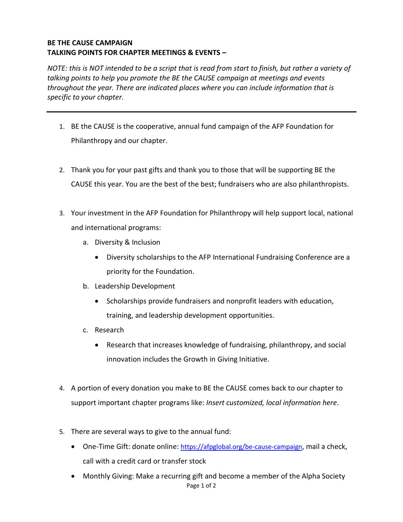## **BE THE CAUSE CAMPAIGN TALKING POINTS FOR CHAPTER MEETINGS & EVENTS –**

*NOTE: this is NOT intended to be a script that is read from start to finish, but rather a variety of talking points to help you promote the BE the CAUSE campaign at meetings and events throughout the year. There are indicated places where you can include information that is specific to your chapter.* 

- 1. BE the CAUSE is the cooperative, annual fund campaign of the AFP Foundation for Philanthropy and our chapter.
- 2. Thank you for your past gifts and thank you to those that will be supporting BE the CAUSE this year. You are the best of the best; fundraisers who are also philanthropists.
- 3. Your investment in the AFP Foundation for Philanthropy will help support local, national and international programs:
	- a. Diversity & Inclusion
		- Diversity scholarships to the AFP International Fundraising Conference are a priority for the Foundation.
	- b. Leadership Development
		- Scholarships provide fundraisers and nonprofit leaders with education, training, and leadership development opportunities.
	- c. Research
		- Research that increases knowledge of fundraising, philanthropy, and social innovation includes the Growth in Giving Initiative.
- 4. A portion of every donation you make to BE the CAUSE comes back to our chapter to support important chapter programs like: *Insert customized, local information here*.
- 5. There are several ways to give to the annual fund:
	- One-Time Gift: donate online: <https://afpglobal.org/be-cause-campaign>, mail a check, call with a credit card or transfer stock
	- Page 1 of 2 • Monthly Giving: Make a recurring gift and become a member of the Alpha Society